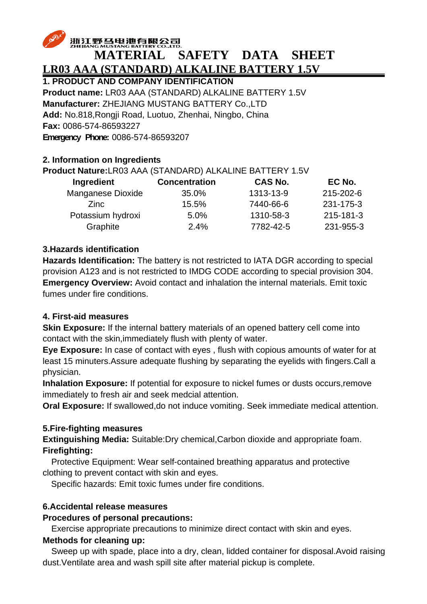# 浙江野马电池有限公司 **MATERIAL SAFETY DATA SHEET LR03 AAA (STANDARD) ALKALINE BATTERY 1.5V**

**1. PRODUCT AND COMPANY IDENTIFICATION Product name:** LR03 AAA (STANDARD) ALKALINE BATTERY 1.5V **Manufacturer:** ZHEJIANG MUSTANG BATTERY Co.,LTD **Add:** No.818,Rongji Road, Luotuo, Zhenhai, Ningbo, China **Fax:** 0086-574-86593227 **Emergency Phone:** 0086-574-86593207

### **2. Information on Ingredients**

### **Product Nature:** R03 AAA (STANDARD) ALKALINE BATTERY 1.5V

| Ingredient        | <b>Concentration</b> | <b>CAS No.</b> | EC No.    |  |
|-------------------|----------------------|----------------|-----------|--|
| Manganese Dioxide | 35.0%                | 1313-13-9      | 215-202-6 |  |
| Zinc              | 15.5%                | 7440-66-6      | 231-175-3 |  |
| Potassium hydroxi | 5.0%                 | 1310-58-3      | 215-181-3 |  |
| Graphite          | 2.4%                 | 7782-42-5      | 231-955-3 |  |
|                   |                      |                |           |  |

#### **3.Hazards identification**

**Hazards Identification:** The battery is not restricted to IATA DGR according to special provision A123 and is not restricted to IMDG CODE according to special provision 304. **Emergency Overview:** Avoid contact and inhalation the internal materials. Emit toxic fumes under fire conditions.

#### **4. First-aid measures**

**Skin Exposure:** If the internal battery materials of an opened battery cell come into contact with the skin,immediately flush with plenty of water.

**Eye Exposure:** In case of contact with eyes , flush with copious amounts of water for at least 15 minuters.Assure adequate flushing by separating the eyelids with fingers.Call a physician.

**Inhalation Exposure:** If potential for exposure to nickel fumes or dusts occurs, remove immediately to fresh air and seek medcial attention.

**Oral Exposure:** If swallowed,do not induce vomiting. Seek immediate medical attention.

#### **5.Fire-fighting measures**

**Extinguishing Media:** Suitable:Dry chemical,Carbon dioxide and appropriate foam. **Firefighting:** 

Protective Equipment: Wear self-contained breathing apparatus and protective clothing to prevent contact with skin and eyes.

Specific hazards: Emit toxic fumes under fire conditions.

# **6.Accidental release measures**

#### **Procedures of personal precautions:**

Exercise appropriate precautions to minimize direct contact with skin and eyes.

#### **Methods for cleaning up:**

Sweep up with spade, place into a dry, clean, lidded container for disposal.Avoid raising dust.Ventilate area and wash spill site after material pickup is complete.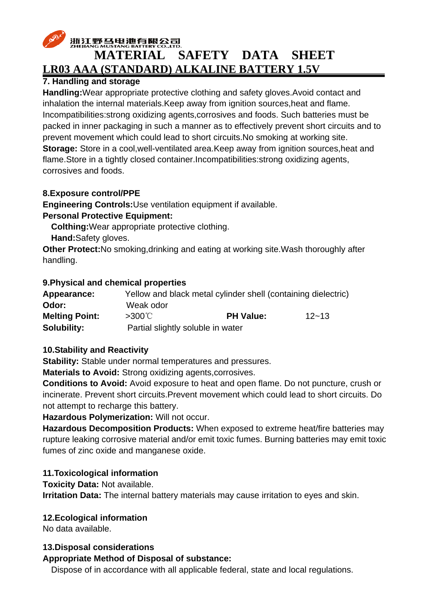# 浙江野马电池有限公司

# **MATERIAL SAFETY DATA SHEET LR03 AAA (STANDARD) ALKALINE BATTERY 1.5V**

# **7. Handling and storage**

**Handling:**Wear appropriate protective clothing and safety gloves.Avoid contact and inhalation the internal materials.Keep away from ignition sources,heat and flame. Incompatibilities:strong oxidizing agents,corrosives and foods. Such batteries must be packed in inner packaging in such a manner as to effectively prevent short circuits and to prevent movement which could lead to short circuits.No smoking at working site. **Storage:** Store in a cool,well-ventilated area.Keep away from ignition sources,heat and flame.Store in a tightly closed container.Incompatibilities:strong oxidizing agents, corrosives and foods.

# **8.Exposure control/PPE**

**Engineering Controls:**Use ventilation equipment if available.

# **Personal Protective Equipment:**

**Colthing:**Wear appropriate protective clothing.

**Hand:**Safety gloves.

**Other Protect:**No smoking,drinking and eating at working site.Wash thoroughly after handling.

### **9.Physical and chemical properties**

| Appearance:           |                                   | Yellow and black metal cylinder shell (containing dielectric) |           |
|-----------------------|-----------------------------------|---------------------------------------------------------------|-----------|
| Odor:                 | Weak odor                         |                                                               |           |
| <b>Melting Point:</b> | $>300^{\circ}$ C                  | <b>PH Value:</b>                                              | $12 - 13$ |
| <b>Solubility:</b>    | Partial slightly soluble in water |                                                               |           |

# **10.Stability and Reactivity**

**Stability:** Stable under normal temperatures and pressures.

**Materials to Avoid:** Strong oxidizing agents,corrosives.

**Conditions to Avoid:** Avoid exposure to heat and open flame. Do not puncture, crush or incinerate. Prevent short circuits.Prevent movement which could lead to short circuits. Do not attempt to recharge this battery.

**Hazardous Polymerization:** Will not occur.

**Hazardous Decomposition Products:** When exposed to extreme heat/fire batteries may rupture leaking corrosive material and/or emit toxic fumes. Burning batteries may emit toxic fumes of zinc oxide and manganese oxide.

# **11.Toxicological information**

**Toxicity Data:** Not available.

**Irritation Data:** The internal battery materials may cause irritation to eyes and skin.

# **12.Ecological information**

No data available.

# **13.Disposal considerations**

#### **Appropriate Method of Disposal of substance:**

Dispose of in accordance with all applicable federal, state and local regulations.